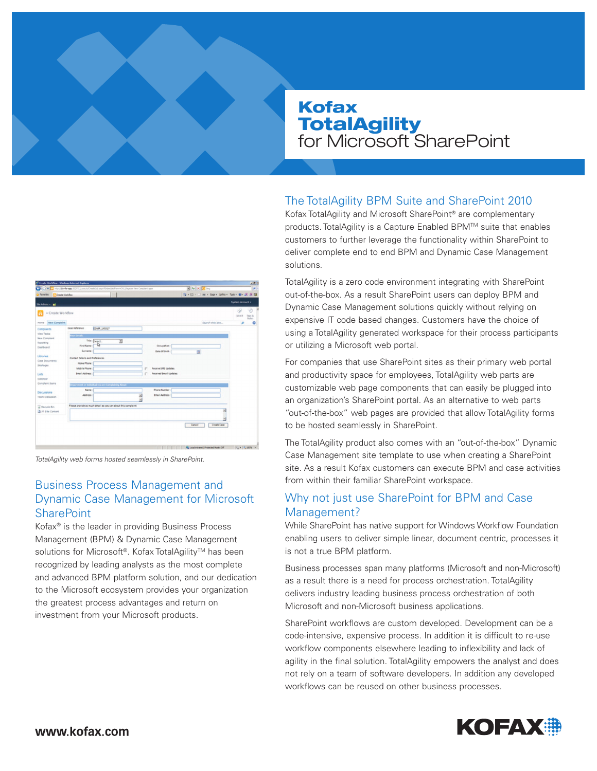# Kofax **TotalAgility** for Microsoft SharePoint



TotalAgility web forms hosted seamlessly in SharePoint.

## Business Process Management and Dynamic Case Management for Microsoft **SharePoint**

Kofax® is the leader in providing Business Process Management (BPM) & Dynamic Case Management solutions for Microsoft®. Kofax TotalAgility™ has been recognized by leading analysts as the most complete and advanced BPM platform solution, and our dedication to the Microsoft ecosystem provides your organization the greatest process advantages and return on investment from your Microsoft products.

# The TotalAgility BPM Suite and SharePoint 2010

Kofax TotalAgility and Microsoft SharePoint® are complementary products. TotalAgility is a Capture Enabled BPM™ suite that enables customers to further leverage the functionality within SharePoint to deliver complete end to end BPM and Dynamic Case Management solutions.

TotalAgility is a zero code environment integrating with SharePoint out-of-the-box. As a result SharePoint users can deploy BPM and Dynamic Case Management solutions quickly without relying on expensive IT code based changes. Customers have the choice of using a TotalAgility generated workspace for their process participants or utilizing a Microsoft web portal.

For companies that use SharePoint sites as their primary web portal and productivity space for employees, TotalAgility web parts are customizable web page components that can easily be plugged into an organization's SharePoint portal. As an alternative to web parts "out-of-the-box" web pages are provided that allow TotalAgility forms to be hosted seamlessly in SharePoint.

The TotalAgility product also comes with an "out-of-the-box" Dynamic Case Management site template to use when creating a SharePoint site. As a result Kofax customers can execute BPM and case activities from within their familiar SharePoint workspace.

# Why not just use SharePoint for BPM and Case Management?

While SharePoint has native support for Windows Workflow Foundation enabling users to deliver simple linear, document centric, processes it is not a true BPM platform.

Business processes span many platforms (Microsoft and non-Microsoft) as a result there is a need for process orchestration. TotalAgility delivers industry leading business process orchestration of both Microsoft and non-Microsoft business applications.

SharePoint workflows are custom developed. Development can be a code-intensive, expensive process. In addition it is difficult to re-use workflow components elsewhere leading to inflexibility and lack of agility in the final solution. TotalAgility empowers the analyst and does not rely on a team of software developers. In addition any developed workflows can be reused on other business processes.